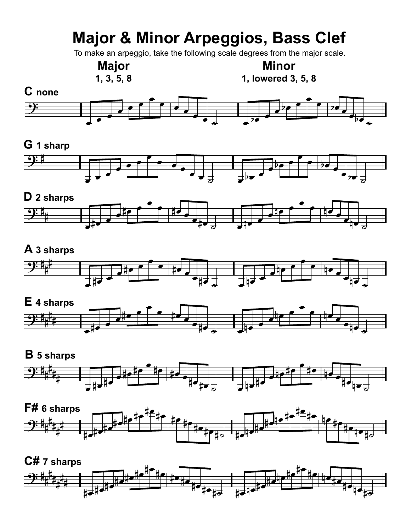# **Major & Minor Arpeggios, Bass Clef**

To make an arpeggio, take the following scale degrees from the major scale.

## **Major**

**1, 3, 5, 8**

**Minor 1, lowered 3, 5, 8**



### **G 1 sharp**





#### **A 3 sharps** œ œ #  $9:4$ **a** <sup>œ</sup> #œ <sup>œ</sup>  $\frac{1}{\sqrt{1-\frac{1}{2}}}$ <sup>œ</sup> nœ <sup>œ</sup> #  $\frac{1}{2}$ <sup>œ</sup> #œ <sup>œ</sup> œ#œ ˙ <sup>œ</sup> nœ <sup>œ</sup> ▅<sub><sub>▜</sub>▅▗<sub></sub></sub>



#### $9:4$ # # # # ╧═╧╧<br>═╧╬┲┵╫╺<br>═ e#e#e <sup>œ</sup> #œ #œ œ#œ#œ ˙ <sup>œ</sup> nœ #œ  $\frac{1}{e^{\frac{1}{2} \cdot \frac{1}{e^{\frac{1}{e^{\frac{1}{e^{\frac{1}{e^{\frac{1}{e^{\frac{1}{e^{\frac{1}{e^{\frac{1}{e^{\frac{1}{e^{\frac{1}{e^{\frac{1}{e^{\frac{1}{e^{\frac{1}{e^{\frac{1}{e^{\frac{1}{e^{\frac{1}{e^{\frac{1}{e^{\frac{1}{e^{\frac{1}{e^{\frac{1}{e^{\frac{1}{e^{\frac{1}{e^{\frac{1}{e^{\frac{1}{e^{\frac{1}{e^{\frac{1}{1}}}}}}}}}}}}}}{1 + \frac{1}{e^{\frac{1}{e$ <sup>œ</sup> #œ nœ œ#œnœ ˙ **B 5 sharps**